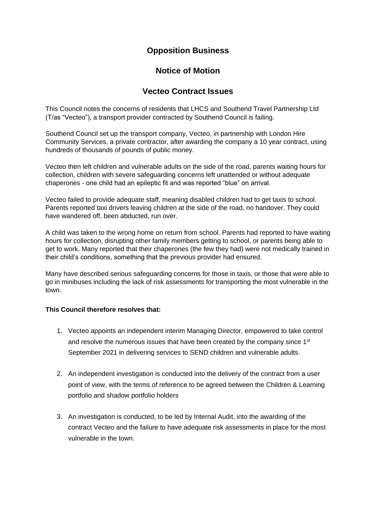## **Opposition Business**

## **Notice of Motion**

## **Vecteo Contract Issues**

This Council notes the concerns of residents that LHCS and Southend Travel Partnership Ltd (T/as "Vecteo"), a transport provider contracted by Southend Council is failing.

Southend Council set up the transport company, Vecteo, in partnership with London Hire Community Services, a private contractor, after awarding the company a 10 year contract, using hundreds of thousands of pounds of public money.

Vecteo then left children and vulnerable adults on the side of the road, parents waiting hours for collection, children with severe safeguarding concerns left unattended or without adequate chaperones - one child had an epileptic fit and was reported "blue" on arrival.

Vecteo failed to provide adequate staff, meaning disabled children had to get taxis to school. Parents reported taxi drivers leaving children at the side of the road, no handover. They could have wandered off, been abducted, run over.

A child was taken to the wrong home on return from school. Parents had reported to have waiting hours for collection, disrupting other family members getting to school, or parents being able to get to work. Many reported that their chaperones (the few they had) were not medically trained in their child's conditions, something that the previous provider had ensured.

Many have described serious safeguarding concerns for those in taxis, or those that were able to go in minibuses including the lack of risk assessments for transporting the most vulnerable in the town.

## **This Council therefore resolves that:**

- 1. Vecteo appoints an independent interim Managing Director, empowered to take control and resolve the numerous issues that have been created by the company since  $1<sup>st</sup>$ September 2021 in delivering services to SEND children and vulnerable adults.
- 2. An independent investigation is conducted into the delivery of the contract from a user point of view, with the terms of reference to be agreed between the Children & Learning portfolio and shadow portfolio holders
- 3. An investigation is conducted, to be led by Internal Audit, into the awarding of the contract Vecteo and the failure to have adequate risk assessments in place for the most vulnerable in the town.